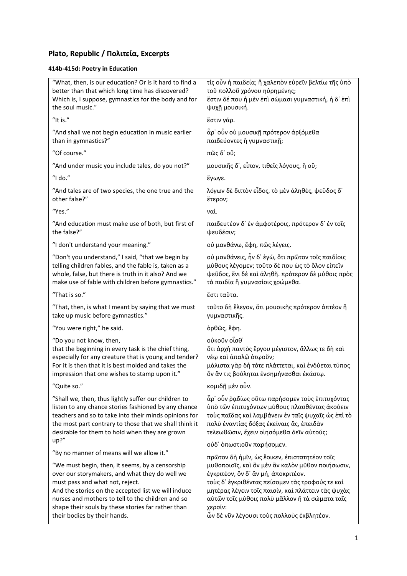## **Plato, Republic / Πολιτεία, Excerpts**

## **414b-415d: Poetry in Education**

| τίς οὖν ή παιδεία; ἢ χαλεπὸν εὑρεῖν βελτίω τῆς ὑπὸ<br>τοῦ πολλοῦ χρόνου ηὑρημένης;<br>έστιν δέ που ή μεν έπι σώμασι γυμναστική, ή δ' έπι<br>ψυχῆ μουσική.                                                                                                                                                                                                  |
|------------------------------------------------------------------------------------------------------------------------------------------------------------------------------------------------------------------------------------------------------------------------------------------------------------------------------------------------------------|
| ἔστιν γάρ.                                                                                                                                                                                                                                                                                                                                                 |
| ἆρ' οὖν οὐ μουσικῆ πρότερον ἀρξόμεθα<br>παιδεύοντες ἢ γυμναστικῆ;                                                                                                                                                                                                                                                                                          |
| πῶς δ' οὔ;                                                                                                                                                                                                                                                                                                                                                 |
| μουσικῆς δ', εἶπον, τιθεῖς λόγους, ἢ οὔ;                                                                                                                                                                                                                                                                                                                   |
| ἔγωγε.                                                                                                                                                                                                                                                                                                                                                     |
| λόγων δὲ διττὸν εἶδος, τὸ μὲν ἀληθές, ψεῦδος δ'<br>ἕτερον;                                                                                                                                                                                                                                                                                                 |
| ναί.                                                                                                                                                                                                                                                                                                                                                       |
| παιδευτέον δ' έν άμφοτέροις, πρότερον δ' έν τοΐς<br>ψευδέσιν;                                                                                                                                                                                                                                                                                              |
| ού μανθάνω, ἔφη, πῶς λέγεις.                                                                                                                                                                                                                                                                                                                               |
| οὐ μανθάνεις, ἦν δ' ἐγώ, ὅτι πρῶτον τοῖς παιδίοις<br>μύθους λέγομεν; τοῦτο δέ που ὡς τὸ ὅλον εἰπεῖν<br>ψεῦδος, ἔνι δὲ καὶ ἀληθῆ. πρότερον δὲ μύθοις πρὸς<br>τὰ παιδία ἢ γυμνασίοις χρώμεθα.                                                                                                                                                                |
| έστι ταῦτα.                                                                                                                                                                                                                                                                                                                                                |
| τοῦτο δὴ ἔλεγον, ὅτι μουσικῆς πρότερον ἀπτέον ἢ<br>γυμναστικῆς.                                                                                                                                                                                                                                                                                            |
| όρθῶς, ἔφη.                                                                                                                                                                                                                                                                                                                                                |
| οὐκοῦν οἶσθ'<br>ὄτι άρχὴ παντὸς ἔργου μέγιστον, ἄλλως τε δὴ καὶ<br>νέω και άπαλῷ οτωοῦν;<br>μάλιστα γὰρ δὴ τότε πλάττεται, καὶ ἐνδύεται τύπος<br>ὃν ἄν τις βούληται ένσημήνασθαι ἑκάστῳ.                                                                                                                                                                   |
| κομιδῆ μὲν οὖν.                                                                                                                                                                                                                                                                                                                                            |
| ἆρ' οὖν ῥαδίως οὕτω παρήσομεν τοὺς ἐπιτυχόντας<br>υπό τῶν ἐπιτυχόντων μύθους πλασθέντας ἀκούειν<br>τοὺς παῖδας καὶ λαμβάνειν ἐν ταῖς ψυχαῖς ὡς ἐπὶ τὸ<br>πολύ έναντίας δόξας έκείναις ἅς, έπειδὰν<br>τελεωθῶσιν, ἔχειν οἰησόμεθα δεῖν αὐτούς;                                                                                                              |
| ούδ' όπωστιοῦν παρήσομεν.                                                                                                                                                                                                                                                                                                                                  |
| πρῶτον δὴ ἡμῖν, ὡς ἔοικεν, ἐπιστατητέον τοῖς<br>μυθοποιοΐς, καὶ ὃν μὲν ἂν καλὸν μῦθον ποιήσωσιν,<br>έγκριτέον, ὃν δ' ἂν μή, άποκριτέον.<br>τοὺς δ' έγκριθέντας πείσομεν τὰς τροφούς τε καὶ<br>μητέρας λέγειν τοῖς παισίν, καὶ πλάττειν τὰς ψυχὰς<br>αὐτῶν τοῖς μύθοις πολὺ μᾶλλον ἢ τὰ σώματα ταῖς<br>χερσίν:<br>ὧν δὲ νῦν λέγουσι τοὺς πολλοὺς ἐκβλητέον. |
|                                                                                                                                                                                                                                                                                                                                                            |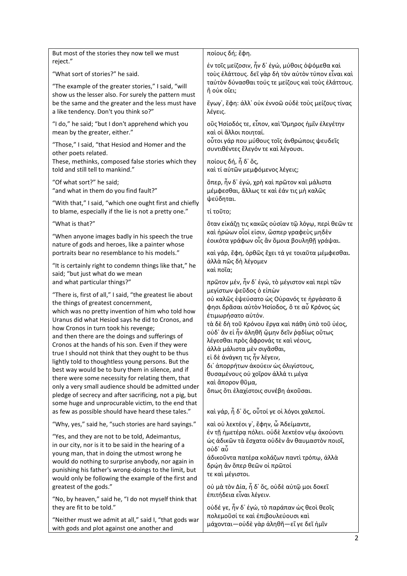| But most of the stories they now tell we must                                                                                                                                                                                                                                                                                                                                                                                                                                                                                                                                                                                                                                                                                                                                                                                                  | ποίους δή; ἔφη.                                                                                                                                                                                                                                                                                                                                                                                                                                                                                                                                                                             |
|------------------------------------------------------------------------------------------------------------------------------------------------------------------------------------------------------------------------------------------------------------------------------------------------------------------------------------------------------------------------------------------------------------------------------------------------------------------------------------------------------------------------------------------------------------------------------------------------------------------------------------------------------------------------------------------------------------------------------------------------------------------------------------------------------------------------------------------------|---------------------------------------------------------------------------------------------------------------------------------------------------------------------------------------------------------------------------------------------------------------------------------------------------------------------------------------------------------------------------------------------------------------------------------------------------------------------------------------------------------------------------------------------------------------------------------------------|
| reject."                                                                                                                                                                                                                                                                                                                                                                                                                                                                                                                                                                                                                                                                                                                                                                                                                                       | έν τοῖς μείζοσιν, ἦν δ' ἐγώ, μύθοις ὀψόμεθα καὶ                                                                                                                                                                                                                                                                                                                                                                                                                                                                                                                                             |
| "What sort of stories?" he said.                                                                                                                                                                                                                                                                                                                                                                                                                                                                                                                                                                                                                                                                                                                                                                                                               | τοὺς ἐλάττους. δεῖ γὰρ δὴ τὸν αὐτὸν τύπον εἶναι καὶ<br>ταύτον δύνασθαι τούς τε μείζους και τους έλάττους.<br>ἢ οὐκ οἴει;                                                                                                                                                                                                                                                                                                                                                                                                                                                                    |
| "The example of the greater stories," I said, "will<br>show us the lesser also. For surely the pattern must                                                                                                                                                                                                                                                                                                                                                                                                                                                                                                                                                                                                                                                                                                                                    |                                                                                                                                                                                                                                                                                                                                                                                                                                                                                                                                                                                             |
| be the same and the greater and the less must have<br>a like tendency. Don't you think so?"                                                                                                                                                                                                                                                                                                                                                                                                                                                                                                                                                                                                                                                                                                                                                    | έγωγ', έφη: άλλ' ούκ έννοῶ οὐδὲ τοὺς μείζους τίνας<br>λέγεις.                                                                                                                                                                                                                                                                                                                                                                                                                                                                                                                               |
| "I do," he said; "but I don't apprehend which you<br>mean by the greater, either."                                                                                                                                                                                                                                                                                                                                                                                                                                                                                                                                                                                                                                                                                                                                                             | οὓς Ήσίοδός τε, εἶπον, καὶ Όμηρος ἡμῖν ἐλεγέτην<br>καὶ οἱ ἄλλοι ποιηταί.                                                                                                                                                                                                                                                                                                                                                                                                                                                                                                                    |
| "Those," I said, "that Hesiod and Homer and the<br>other poets related.                                                                                                                                                                                                                                                                                                                                                                                                                                                                                                                                                                                                                                                                                                                                                                        | οὗτοι γάρ που μύθους τοῖς ἀνθρώποις ψευδεῖς<br>συντιθέντες ἔλεγόν τε καὶ λέγουσι.                                                                                                                                                                                                                                                                                                                                                                                                                                                                                                           |
| These, methinks, composed false stories which they<br>told and still tell to mankind."                                                                                                                                                                                                                                                                                                                                                                                                                                                                                                                                                                                                                                                                                                                                                         | ποίους δή, ἦ δ' ὄς,<br>καὶ τί αὐτῶν μεμφόμενος λέγεις;                                                                                                                                                                                                                                                                                                                                                                                                                                                                                                                                      |
| "Of what sort?" he said;<br>"and what in them do you find fault?"                                                                                                                                                                                                                                                                                                                                                                                                                                                                                                                                                                                                                                                                                                                                                                              | ὄπερ, ἦν δ' ἐγώ, χρὴ καὶ πρῶτον καὶ μάλιστα<br>μέμφεσθαι, ἄλλως τε καὶ ἐάν τις μὴ καλῶς                                                                                                                                                                                                                                                                                                                                                                                                                                                                                                     |
| "With that," I said, "which one ought first and chiefly<br>to blame, especially if the lie is not a pretty one."                                                                                                                                                                                                                                                                                                                                                                                                                                                                                                                                                                                                                                                                                                                               | ψεύδηται.<br>τί τοῦτο;                                                                                                                                                                                                                                                                                                                                                                                                                                                                                                                                                                      |
| "What is that?"                                                                                                                                                                                                                                                                                                                                                                                                                                                                                                                                                                                                                                                                                                                                                                                                                                | ὄταν εἰκάζη τις κακῶς οὐσίαν τῷ λόγῳ, περὶ θεῶν τε                                                                                                                                                                                                                                                                                                                                                                                                                                                                                                                                          |
| "When anyone images badly in his speech the true<br>nature of gods and heroes, like a painter whose                                                                                                                                                                                                                                                                                                                                                                                                                                                                                                                                                                                                                                                                                                                                            | καὶ ἡρώων οἶοί εἰσιν, ὥσπερ γραφεὺς μηδὲν<br>έοικότα γράφων οἷς ἂν ὄμοια βουληθῆ γράψαι.<br>καὶ γάρ, ἔφη, ὀρθῶς ἔχει τά γε τοιαῦτα μέμφεσθαι.<br>άλλὰ πῶς δὴ λέγομεν                                                                                                                                                                                                                                                                                                                                                                                                                        |
| portraits bear no resemblance to his models."                                                                                                                                                                                                                                                                                                                                                                                                                                                                                                                                                                                                                                                                                                                                                                                                  |                                                                                                                                                                                                                                                                                                                                                                                                                                                                                                                                                                                             |
| "It is certainly right to condemn things like that," he<br>said; "but just what do we mean                                                                                                                                                                                                                                                                                                                                                                                                                                                                                                                                                                                                                                                                                                                                                     | καὶ ποῖα;                                                                                                                                                                                                                                                                                                                                                                                                                                                                                                                                                                                   |
| and what particular things?"<br>"There is, first of all," I said, "the greatest lie about<br>the things of greatest concernment,<br>which was no pretty invention of him who told how<br>Uranus did what Hesiod says he did to Cronos, and<br>how Cronos in turn took his revenge;<br>and then there are the doings and sufferings of<br>Cronos at the hands of his son. Even if they were<br>true I should not think that they ought to be thus<br>lightly told to thoughtless young persons. But the<br>best way would be to bury them in silence, and if<br>there were some necessity for relating them, that<br>only a very small audience should be admitted under<br>pledge of secrecy and after sacrificing, not a pig, but<br>some huge and unprocurable victim, to the end that<br>as few as possible should have heard these tales." | πρῶτον μέν, ἦν δ' ἐγώ, τὸ μέγιστον καὶ περὶ τῶν<br>μεγίστων ψεῦδος ὁ εἰπὼν<br>ού καλῶς έψεύσατο ως Ούρανός τε ήργάσατο ἅ<br>φησι δρᾶσαι αὐτὸν Ἡσίοδος, ὅ τε αὖ Κρόνος ὡς<br>έτιμωρήσατο αύτόν.<br>τὰ δὲ δὴ τοῦ Κρόνου ἔργα καὶ πάθη ὑπὸ τοῦ ὑέος,<br>οὐδ' ἂν εἰ ἦν ἀληθῆ ὤμην δεῖν ῥαδίως οὕτως<br>λέγεσθαι πρὸς ἄφρονάς τε καὶ νέους,<br>άλλὰ μάλιστα μὲν σιγᾶσθαι,<br>εἰ δὲ ἀνάγκη τις ἦν λέγειν,<br>δι' άπορρήτων άκούειν ως όλιγίστους,<br>θυσαμένους οὐ χοῖρον ἀλλά τι μέγα<br>καὶ ἄπορον θῦμα,<br>ὄπως ὅτι ἐλαχίστοις συνέβη άκοῦσαι.<br>καὶ γάρ, ἦ δ' ὅς, οὗτοί γε οἱ λόγοι χαλεποί. |
| "Why, yes," said he, "such stories are hard sayings."                                                                                                                                                                                                                                                                                                                                                                                                                                                                                                                                                                                                                                                                                                                                                                                          | καὶ οὐ λεκτέοι γ', ἔφην, ὦ Ἀδείμαντε,                                                                                                                                                                                                                                                                                                                                                                                                                                                                                                                                                       |
| "Yes, and they are not to be told, Adeimantus,<br>in our city, nor is it to be said in the hearing of a<br>young man, that in doing the utmost wrong he<br>would do nothing to surprise anybody, nor again in<br>punishing his father's wrong-doings to the limit, but<br>would only be following the example of the first and                                                                                                                                                                                                                                                                                                                                                                                                                                                                                                                 | έν τῆ ἡμετέρα πόλει. οὐδὲ λεκτέον νέω ἀκούοντι<br>ώς άδικῶν τὰ ἔσχατα οὐδὲν ἂν θαυμαστὸν ποιοῖ,<br>οὐδ' αὖ<br>άδικοῦντα πατέρα κολάζων παντὶ τρόπῳ, ἀλλὰ<br>δρώη ἂν ὅπερ θεῶν οἱ πρῶτοί<br>τε και μέγιστοι.                                                                                                                                                                                                                                                                                                                                                                                 |
| greatest of the gods."                                                                                                                                                                                                                                                                                                                                                                                                                                                                                                                                                                                                                                                                                                                                                                                                                         | οὐ μὰ τὸν Δία, ἦ δ' ὅς, οὐδὲ αὐτῷ μοι δοκεῖ<br>έπιτήδεια εἶναι λέγειν.                                                                                                                                                                                                                                                                                                                                                                                                                                                                                                                      |
| "No, by heaven," said he, "I do not myself think that<br>they are fit to be told."                                                                                                                                                                                                                                                                                                                                                                                                                                                                                                                                                                                                                                                                                                                                                             | οὐδέ γε, ἦν δ' ἐγώ, τὸ παράπαν ὡς θεοὶ θεοῖς<br>πολεμοῦσί τε καὶ ἐπιβουλεύουσι καὶ                                                                                                                                                                                                                                                                                                                                                                                                                                                                                                          |
| "Neither must we admit at all," said I, "that gods war                                                                                                                                                                                                                                                                                                                                                                                                                                                                                                                                                                                                                                                                                                                                                                                         | $\omega$ $\omega$ $\tau$ $\alpha$ $\omega$ $\lambda$ $\lambda$ $\alpha$ $\lambda$ $\lambda$ $\alpha$ $\beta$ $\lambda$ $\alpha$ $\alpha$ $\lambda$ $\alpha$ $\lambda$ $\alpha$ $\lambda$ $\alpha$                                                                                                                                                                                                                                                                                                                                                                                           |

with gods and plot against one another and

μάχονται—οὐδὲ γὰρ ἀληθῆ—εἴ γε δεῖ ἡμῖν